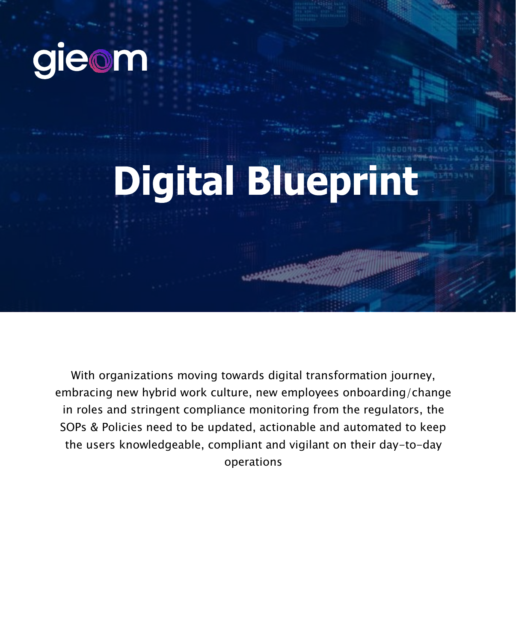

## **Digital Blueprint**

With organizations moving towards digital transformation journey, embracing new hybrid work culture, new employees onboarding/change in roles and stringent compliance monitoring from the regulators, the SOPs & Policies need to be updated, actionable and automated to keep the users knowledgeable, compliant and vigilant on their day-to-day operations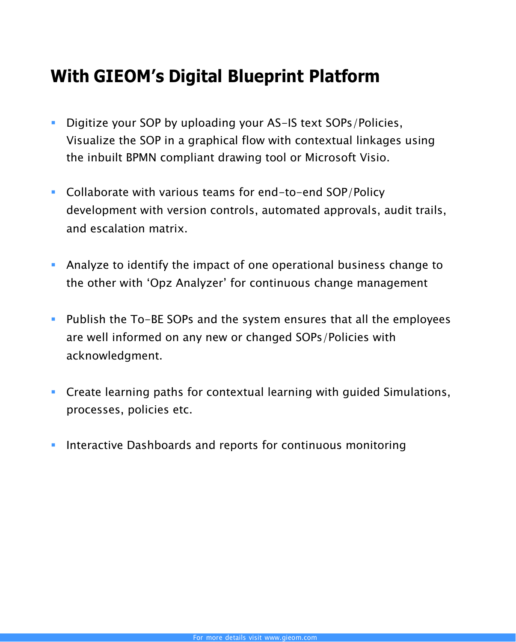## **With GIEOM's Digital Blueprint Platform**

- **Digitize your SOP by uploading your AS-IS text SOPs/Policies.** Visualize the SOP in a graphical flow with contextual linkages using the inbuilt BPMN compliant drawing tool or Microsoft Visio.
- Collaborate with various teams for end-to-end SOP/Policy development with version controls, automated approvals, audit trails, and escalation matrix.
- Analyze to identify the impact of one operational business change to the other with 'Opz Analyzer' for continuous change management
- **Publish the To-BE SOPs and the system ensures that all the employees** are well informed on any new or changed SOPs/Policies with acknowledgment.
- Create learning paths for contextual learning with guided Simulations, processes, policies etc.
- Interactive Dashboards and reports for continuous monitoring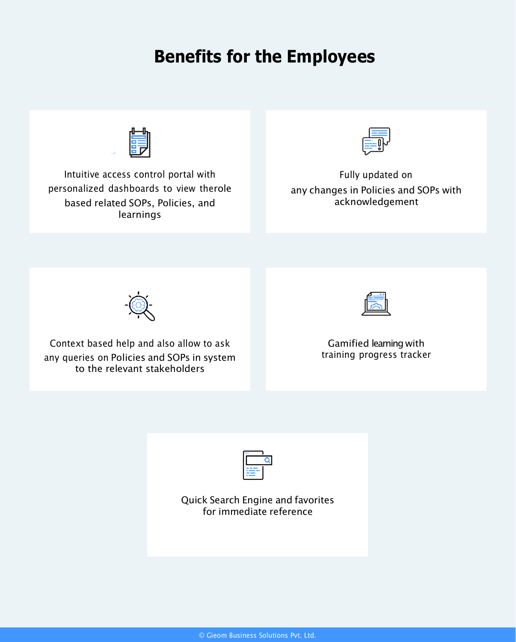## **Benefits for the Employees**



Intuitive access control portal with personalized dashboards to view therole based related SOPs, Policies, and learnings



Fully updated on any changes in Policies and SOPs with acknowledgement



Context based help and also allow to ask any queries on Policies and SOPs in system to the relevant stakeholders



Gamified learning with training progress tracker



Quick Search Engine and favorites for immediate reference